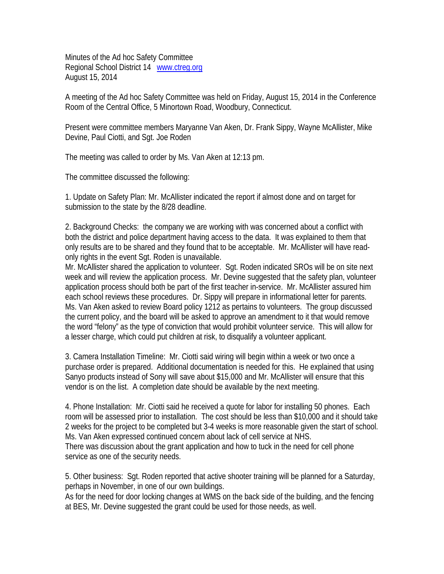Minutes of the Ad hoc Safety Committee Regional School District 14 www.ctreg.org August 15, 2014

A meeting of the Ad hoc Safety Committee was held on Friday, August 15, 2014 in the Conference Room of the Central Office, 5 Minortown Road, Woodbury, Connecticut.

Present were committee members Maryanne Van Aken, Dr. Frank Sippy, Wayne McAllister, Mike Devine, Paul Ciotti, and Sgt. Joe Roden

The meeting was called to order by Ms. Van Aken at 12:13 pm.

The committee discussed the following:

1. Update on Safety Plan: Mr. McAllister indicated the report if almost done and on target for submission to the state by the 8/28 deadline.

2. Background Checks: the company we are working with was concerned about a conflict with both the district and police department having access to the data. It was explained to them that only results are to be shared and they found that to be acceptable. Mr. McAllister will have readonly rights in the event Sgt. Roden is unavailable.

Mr. McAllister shared the application to volunteer. Sgt. Roden indicated SROs will be on site next week and will review the application process. Mr. Devine suggested that the safety plan, volunteer application process should both be part of the first teacher in-service. Mr. McAllister assured him each school reviews these procedures. Dr. Sippy will prepare in informational letter for parents. Ms. Van Aken asked to review Board policy 1212 as pertains to volunteers. The group discussed the current policy, and the board will be asked to approve an amendment to it that would remove the word "felony" as the type of conviction that would prohibit volunteer service. This will allow for a lesser charge, which could put children at risk, to disqualify a volunteer applicant.

3. Camera Installation Timeline: Mr. Ciotti said wiring will begin within a week or two once a purchase order is prepared. Additional documentation is needed for this. He explained that using Sanyo products instead of Sony will save about \$15,000 and Mr. McAllister will ensure that this vendor is on the list. A completion date should be available by the next meeting.

4. Phone Installation: Mr. Ciotti said he received a quote for labor for installing 50 phones. Each room will be assessed prior to installation. The cost should be less than \$10,000 and it should take 2 weeks for the project to be completed but 3-4 weeks is more reasonable given the start of school. Ms. Van Aken expressed continued concern about lack of cell service at NHS. There was discussion about the grant application and how to tuck in the need for cell phone service as one of the security needs.

5. Other business: Sgt. Roden reported that active shooter training will be planned for a Saturday, perhaps in November, in one of our own buildings.

As for the need for door locking changes at WMS on the back side of the building, and the fencing at BES, Mr. Devine suggested the grant could be used for those needs, as well.